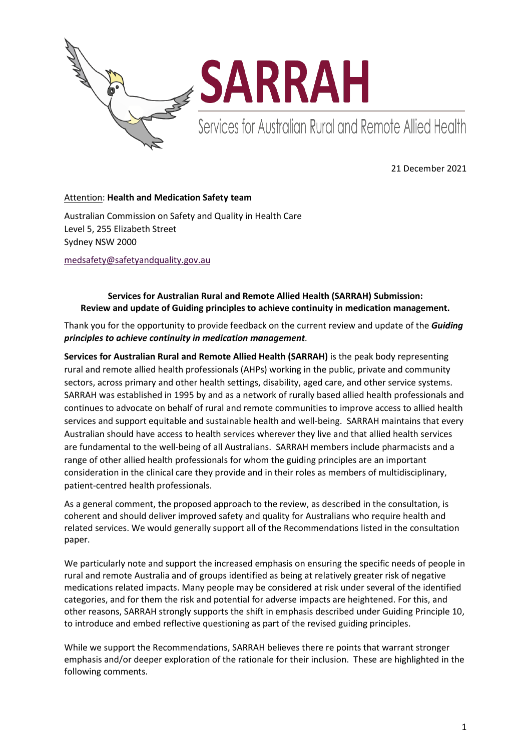

21 December 2021

## Attention: **Health and Medication Safety team**

Australian Commission on Safety and Quality in Health Care Level 5, 255 Elizabeth Street Sydney NSW 2000

[medsafety@safetyandquality.gov.au](mailto:medsafety@safetyandquality.gov.au)

## **Services for Australian Rural and Remote Allied Health (SARRAH) Submission: Review and update of Guiding principles to achieve continuity in medication management.**

Thank you for the opportunity to provide feedback on the current review and update of the *Guiding principles to achieve continuity in medication management.*

**Services for Australian Rural and Remote Allied Health (SARRAH)** is the peak body representing rural and remote allied health professionals (AHPs) working in the public, private and community sectors, across primary and other health settings, disability, aged care, and other service systems. SARRAH was established in 1995 by and as a network of rurally based allied health professionals and continues to advocate on behalf of rural and remote communities to improve access to allied health services and support equitable and sustainable health and well-being. SARRAH maintains that every Australian should have access to health services wherever they live and that allied health services are fundamental to the well-being of all Australians. SARRAH members include pharmacists and a range of other allied health professionals for whom the guiding principles are an important consideration in the clinical care they provide and in their roles as members of multidisciplinary, patient-centred health professionals.

As a general comment, the proposed approach to the review, as described in the consultation, is coherent and should deliver improved safety and quality for Australians who require health and related services. We would generally support all of the Recommendations listed in the consultation paper.

We particularly note and support the increased emphasis on ensuring the specific needs of people in rural and remote Australia and of groups identified as being at relatively greater risk of negative medications related impacts. Many people may be considered at risk under several of the identified categories, and for them the risk and potential for adverse impacts are heightened. For this, and other reasons, SARRAH strongly supports the shift in emphasis described under Guiding Principle 10, to introduce and embed reflective questioning as part of the revised guiding principles.

While we support the Recommendations, SARRAH believes there re points that warrant stronger emphasis and/or deeper exploration of the rationale for their inclusion. These are highlighted in the following comments.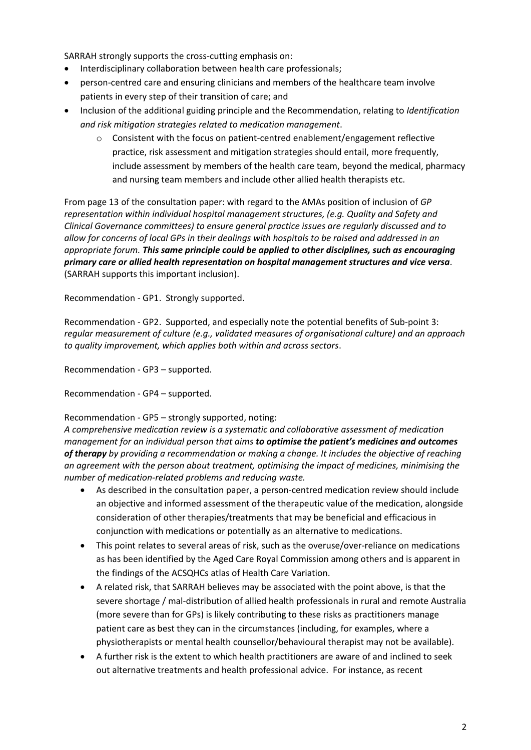SARRAH strongly supports the cross-cutting emphasis on:

- Interdisciplinary collaboration between health care professionals;
- person-centred care and ensuring clinicians and members of the healthcare team involve patients in every step of their transition of care; and
- Inclusion of the additional guiding principle and the Recommendation, relating to *Identification and risk mitigation strategies related to medication management*.
	- o Consistent with the focus on patient-centred enablement/engagement reflective practice, risk assessment and mitigation strategies should entail, more frequently, include assessment by members of the health care team, beyond the medical, pharmacy and nursing team members and include other allied health therapists etc.

From page 13 of the consultation paper: with regard to the AMAs position of inclusion of *GP representation within individual hospital management structures, (e.g. Quality and Safety and Clinical Governance committees) to ensure general practice issues are regularly discussed and to allow for concerns of local GPs in their dealings with hospitals to be raised and addressed in an appropriate forum. This same principle could be applied to other disciplines, such as encouraging primary care or allied health representation on hospital management structures and vice versa*. (SARRAH supports this important inclusion).

Recommendation - GP1. Strongly supported.

Recommendation - GP2. Supported, and especially note the potential benefits of Sub-point 3: *regular measurement of culture (e.g., validated measures of organisational culture) and an approach to quality improvement, which applies both within and across sectors*.

Recommendation - GP3 – supported.

Recommendation - GP4 – supported.

#### Recommendation - GP5 – strongly supported, noting:

*A comprehensive medication review is a systematic and collaborative assessment of medication management for an individual person that aims to optimise the patient's medicines and outcomes of therapy by providing a recommendation or making a change. It includes the objective of reaching an agreement with the person about treatment, optimising the impact of medicines, minimising the number of medication-related problems and reducing waste.*

- As described in the consultation paper, a person-centred medication review should include an objective and informed assessment of the therapeutic value of the medication, alongside consideration of other therapies/treatments that may be beneficial and efficacious in conjunction with medications or potentially as an alternative to medications.
- This point relates to several areas of risk, such as the overuse/over-reliance on medications as has been identified by the Aged Care Royal Commission among others and is apparent in the findings of the ACSQHCs atlas of Health Care Variation.
- A related risk, that SARRAH believes may be associated with the point above, is that the severe shortage / mal-distribution of allied health professionals in rural and remote Australia (more severe than for GPs) is likely contributing to these risks as practitioners manage patient care as best they can in the circumstances (including, for examples, where a physiotherapists or mental health counsellor/behavioural therapist may not be available).
- A further risk is the extent to which health practitioners are aware of and inclined to seek out alternative treatments and health professional advice. For instance, as recent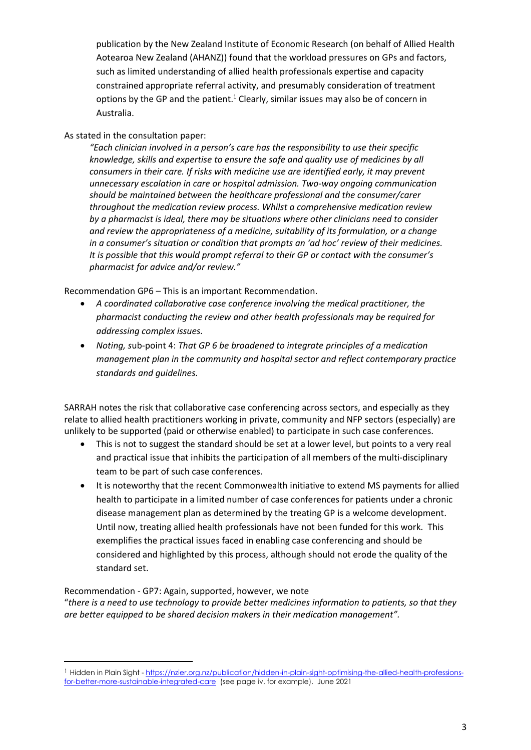publication by the New Zealand Institute of Economic Research (on behalf of Allied Health Aotearoa New Zealand (AHANZ)) found that the workload pressures on GPs and factors, such as limited understanding of allied health professionals expertise and capacity constrained appropriate referral activity, and presumably consideration of treatment options by the GP and the patient.<sup>1</sup> Clearly, similar issues may also be of concern in Australia.

# As stated in the consultation paper:

**.** 

*"Each clinician involved in a person's care has the responsibility to use their specific knowledge, skills and expertise to ensure the safe and quality use of medicines by all consumers in their care. If risks with medicine use are identified early, it may prevent unnecessary escalation in care or hospital admission. Two-way ongoing communication should be maintained between the healthcare professional and the consumer/carer throughout the medication review process. Whilst a comprehensive medication review by a pharmacist is ideal, there may be situations where other clinicians need to consider and review the appropriateness of a medicine, suitability of its formulation, or a change in a consumer's situation or condition that prompts an 'ad hoc' review of their medicines. It is possible that this would prompt referral to their GP or contact with the consumer's pharmacist for advice and/or review."*

Recommendation GP6 – This is an important Recommendation.

- *A coordinated collaborative case conference involving the medical practitioner, the pharmacist conducting the review and other health professionals may be required for addressing complex issues.*
- *Noting, s*ub-point 4: *That GP 6 be broadened to integrate principles of a medication management plan in the community and hospital sector and reflect contemporary practice standards and guidelines.*

SARRAH notes the risk that collaborative case conferencing across sectors, and especially as they relate to allied health practitioners working in private, community and NFP sectors (especially) are unlikely to be supported (paid or otherwise enabled) to participate in such case conferences.

- This is not to suggest the standard should be set at a lower level, but points to a very real and practical issue that inhibits the participation of all members of the multi-disciplinary team to be part of such case conferences.
- It is noteworthy that the recent Commonwealth initiative to extend MS payments for allied health to participate in a limited number of case conferences for patients under a chronic disease management plan as determined by the treating GP is a welcome development. Until now, treating allied health professionals have not been funded for this work. This exemplifies the practical issues faced in enabling case conferencing and should be considered and highlighted by this process, although should not erode the quality of the standard set.

### Recommendation - GP7: Again, supported, however, we note "*there is a need to use technology to provide better medicines information to patients, so that they are better equipped to be shared decision makers in their medication management".*

<sup>1</sup> Hidden in Plain Sight - [https://nzier.org.nz/publication/hidden-in-plain-sight-optimising-the-allied-health-professions](https://nzier.org.nz/publication/hidden-in-plain-sight-optimising-the-allied-health-professions-for-better-more-sustainable-integrated-care)[for-better-more-sustainable-integrated-care](https://nzier.org.nz/publication/hidden-in-plain-sight-optimising-the-allied-health-professions-for-better-more-sustainable-integrated-care) (see page iv, for example). June 2021